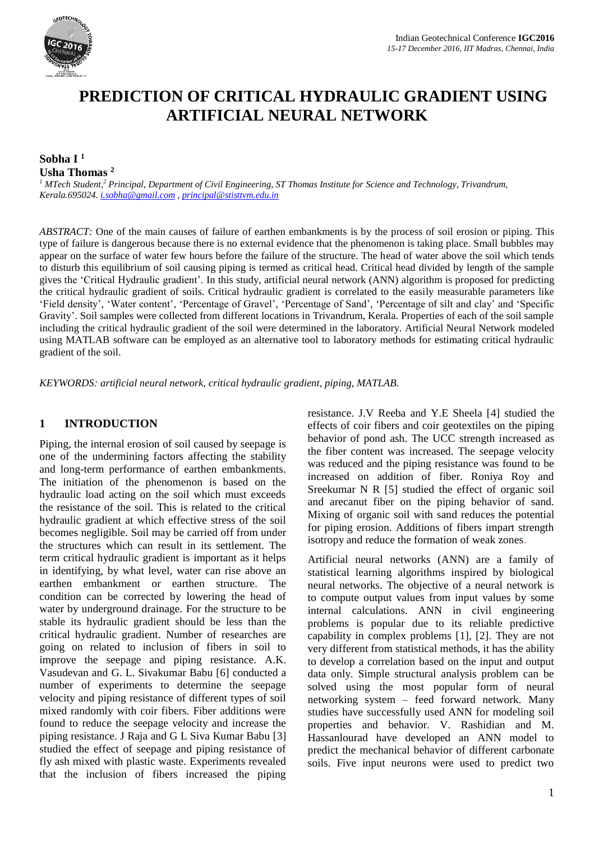

# **PREDICTION OF CRITICAL HYDRAULIC GRADIENT USING ARTIFICIAL NEURAL NETWORK**

## **Sobha I <sup>1</sup> Usha Thomas <sup>2</sup>**

*<sup>1</sup> MTech Student,<sup>2</sup> Principal, Department of Civil Engineering, ST Thomas Institute for Science and Technology, Trivandrum, Kerala.695024. [i.sobha@gmail.com](mailto:i.sobha@gmail.com) [, principal@stisttvm.edu.in](mailto:principal@stisttvm.edu.in)*

*ABSTRACT:* One of the main causes of failure of earthen embankments is by the process of soil erosion or piping. This type of failure is dangerous because there is no external evidence that the phenomenon is taking place. Small bubbles may appear on the surface of water few hours before the failure of the structure. The head of water above the soil which tends to disturb this equilibrium of soil causing piping is termed as critical head. Critical head divided by length of the sample gives the 'Critical Hydraulic gradient'. In this study, artificial neural network (ANN) algorithm is proposed for predicting the critical hydraulic gradient of soils. Critical hydraulic gradient is correlated to the easily measurable parameters like 'Field density', 'Water content', 'Percentage of Gravel', 'Percentage of Sand', 'Percentage of silt and clay' and 'Specific Gravity'. Soil samples were collected from different locations in Trivandrum, Kerala. Properties of each of the soil sample including the critical hydraulic gradient of the soil were determined in the laboratory. Artificial Neural Network modeled using MATLAB software can be employed as an alternative tool to laboratory methods for estimating critical hydraulic gradient of the soil.

*KEYWORDS: artificial neural network, critical hydraulic gradient, piping, MATLAB.* 

#### **1 INTRODUCTION**

Piping, the internal erosion of soil caused by seepage is one of the undermining factors affecting the stability and long-term performance of earthen embankments. The initiation of the phenomenon is based on the hydraulic load acting on the soil which must exceeds the resistance of the soil. This is related to the critical hydraulic gradient at which effective stress of the soil becomes negligible. Soil may be carried off from under the structures which can result in its settlement. The term critical hydraulic gradient is important as it helps in identifying, by what level, water can rise above an earthen embankment or earthen structure. The condition can be corrected by lowering the head of water by underground drainage. For the structure to be stable its hydraulic gradient should be less than the critical hydraulic gradient. Number of researches are going on related to inclusion of fibers in soil to improve the seepage and piping resistance. A.K. Vasudevan and G. L. Sivakumar Babu [6] conducted a number of experiments to determine the seepage velocity and piping resistance of different types of soil mixed randomly with coir fibers. Fiber additions were found to reduce the seepage velocity and increase the piping resistance. J Raja and G L Siva Kumar Babu [3] studied the effect of seepage and piping resistance of fly ash mixed with plastic waste. Experiments revealed that the inclusion of fibers increased the piping

resistance. J.V Reeba and Y.E Sheela [4] studied the effects of coir fibers and coir geotextiles on the piping behavior of pond ash. The UCC strength increased as the fiber content was increased. The seepage velocity was reduced and the piping resistance was found to be increased on addition of fiber. Roniya Roy and Sreekumar N R [5] studied the effect of organic soil and arecanut fiber on the piping behavior of sand. Mixing of organic soil with sand reduces the potential for piping erosion. Additions of fibers impart strength isotropy and reduce the formation of weak zones.

Artificial neural networks (ANN) are a family of statistical learning algorithms inspired by biological neural networks. The objective of a neural network is to compute output values from input values by some internal calculations. ANN in civil engineering problems is popular due to its reliable predictive capability in complex problems [1], [2]. They are not very different from statistical methods, it has the ability to develop a correlation based on the input and output data only. Simple structural analysis problem can be solved using the most popular form of neural networking system – feed forward network. Many studies have successfully used ANN for modeling soil properties and behavior. V. Rashidian and M. Hassanlourad have developed an ANN model to predict the mechanical behavior of different carbonate soils. Five input neurons were used to predict two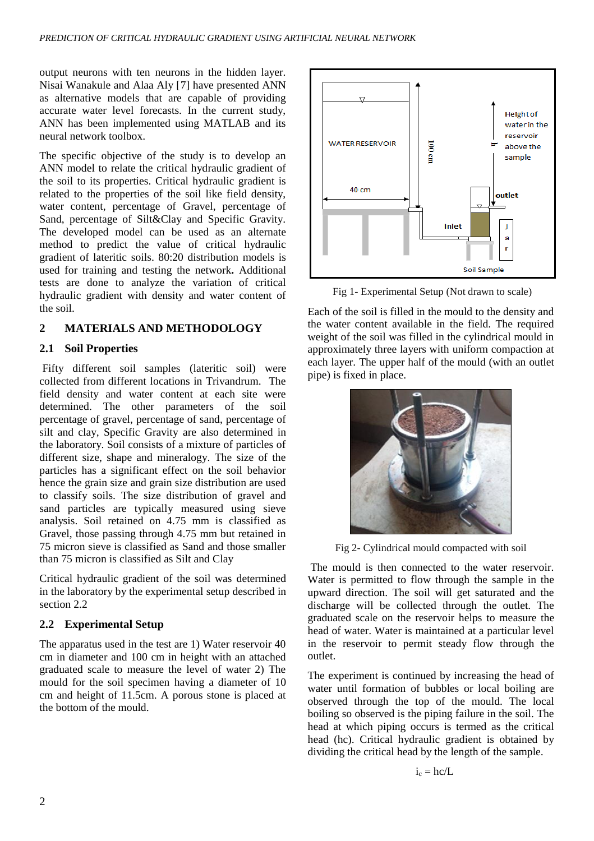output neurons with ten neurons in the hidden layer. Nisai Wanakule and Alaa Aly [7] have presented ANN as alternative models that are capable of providing accurate water level forecasts. In the current study, ANN has been implemented using MATLAB and its neural network toolbox.

The specific objective of the study is to develop an ANN model to relate the critical hydraulic gradient of the soil to its properties. Critical hydraulic gradient is related to the properties of the soil like field density, water content, percentage of Gravel, percentage of Sand, percentage of Silt&Clay and Specific Gravity. The developed model can be used as an alternate method to predict the value of critical hydraulic gradient of lateritic soils. 80:20 distribution models is used for training and testing the network**.** Additional tests are done to analyze the variation of critical hydraulic gradient with density and water content of the soil.

## **2 MATERIALS AND METHODOLOGY**

### **2.1 Soil Properties**

Fifty different soil samples (lateritic soil) were collected from different locations in Trivandrum. The field density and water content at each site were determined. The other parameters of the soil percentage of gravel, percentage of sand, percentage of silt and clay, Specific Gravity are also determined in the laboratory. Soil consists of a mixture of particles of different size, shape and mineralogy. The size of the particles has a significant effect on the soil behavior hence the grain size and grain size distribution are used to classify soils. The size distribution of gravel and sand particles are typically measured using sieve analysis. Soil retained on 4.75 mm is classified as Gravel, those passing through 4.75 mm but retained in 75 micron sieve is classified as Sand and those smaller than 75 micron is classified as Silt and Clay

Critical hydraulic gradient of the soil was determined in the laboratory by the experimental setup described in section 2.2

### **2.2 Experimental Setup**

The apparatus used in the test are 1) Water reservoir 40 cm in diameter and 100 cm in height with an attached graduated scale to measure the level of water 2) The mould for the soil specimen having a diameter of 10 cm and height of 11.5cm. A porous stone is placed at the bottom of the mould.



Fig 1- Experimental Setup (Not drawn to scale)

Each of the soil is filled in the mould to the density and the water content available in the field. The required weight of the soil was filled in the cylindrical mould in approximately three layers with uniform compaction at each layer. The upper half of the mould (with an outlet pipe) is fixed in place.



Fig 2- Cylindrical mould compacted with soil

The mould is then connected to the water reservoir. Water is permitted to flow through the sample in the upward direction. The soil will get saturated and the discharge will be collected through the outlet. The graduated scale on the reservoir helps to measure the head of water. Water is maintained at a particular level in the reservoir to permit steady flow through the outlet.

The experiment is continued by increasing the head of water until formation of bubbles or local boiling are observed through the top of the mould. The local boiling so observed is the piping failure in the soil. The head at which piping occurs is termed as the critical head (hc). Critical hydraulic gradient is obtained by dividing the critical head by the length of the sample.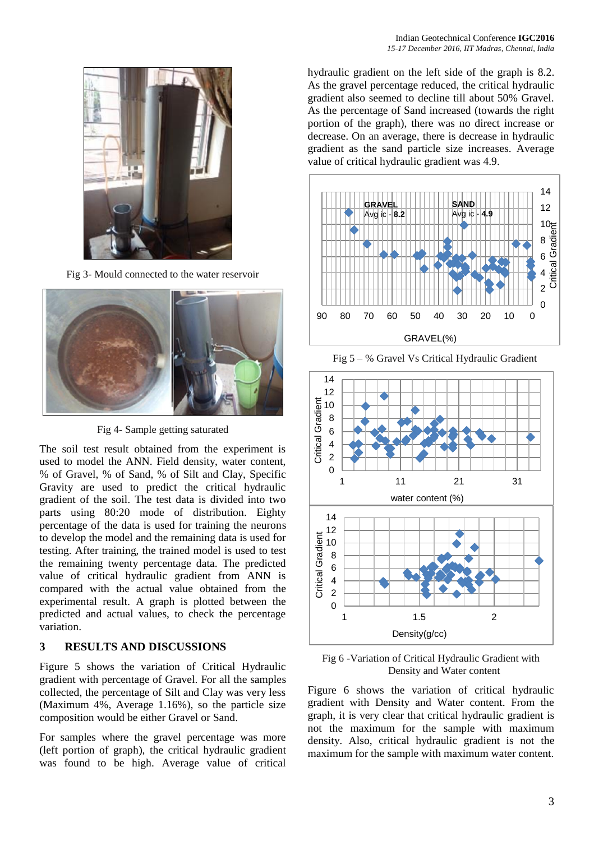

Fig 3- Mould connected to the water reservoir



Fig 4- Sample getting saturated

The soil test result obtained from the experiment is used to model the ANN. Field density, water content, % of Gravel, % of Sand, % of Silt and Clay, Specific Gravity are used to predict the critical hydraulic gradient of the soil. The test data is divided into two parts using 80:20 mode of distribution. Eighty percentage of the data is used for training the neurons to develop the model and the remaining data is used for testing. After training, the trained model is used to test the remaining twenty percentage data. The predicted value of critical hydraulic gradient from ANN is compared with the actual value obtained from the experimental result. A graph is plotted between the predicted and actual values, to check the percentage variation.

### **3 RESULTS AND DISCUSSIONS**

Figure 5 shows the variation of Critical Hydraulic gradient with percentage of Gravel. For all the samples collected, the percentage of Silt and Clay was very less (Maximum 4%, Average 1.16%), so the particle size composition would be either Gravel or Sand.

For samples where the gravel percentage was more (left portion of graph), the critical hydraulic gradient was found to be high. Average value of critical hydraulic gradient on the left side of the graph is 8.2. As the gravel percentage reduced, the critical hydraulic gradient also seemed to decline till about 50% Gravel. As the percentage of Sand increased (towards the right portion of the graph), there was no direct increase or decrease. On an average, there is decrease in hydraulic gradient as the sand particle size increases. Average value of critical hydraulic gradient was 4.9.



Fig 5 – % Gravel Vs Critical Hydraulic Gradient



Fig 6 -Variation of Critical Hydraulic Gradient with Density and Water content

Figure 6 shows the variation of critical hydraulic gradient with Density and Water content. From the graph, it is very clear that critical hydraulic gradient is not the maximum for the sample with maximum density. Also, critical hydraulic gradient is not the maximum for the sample with maximum water content.